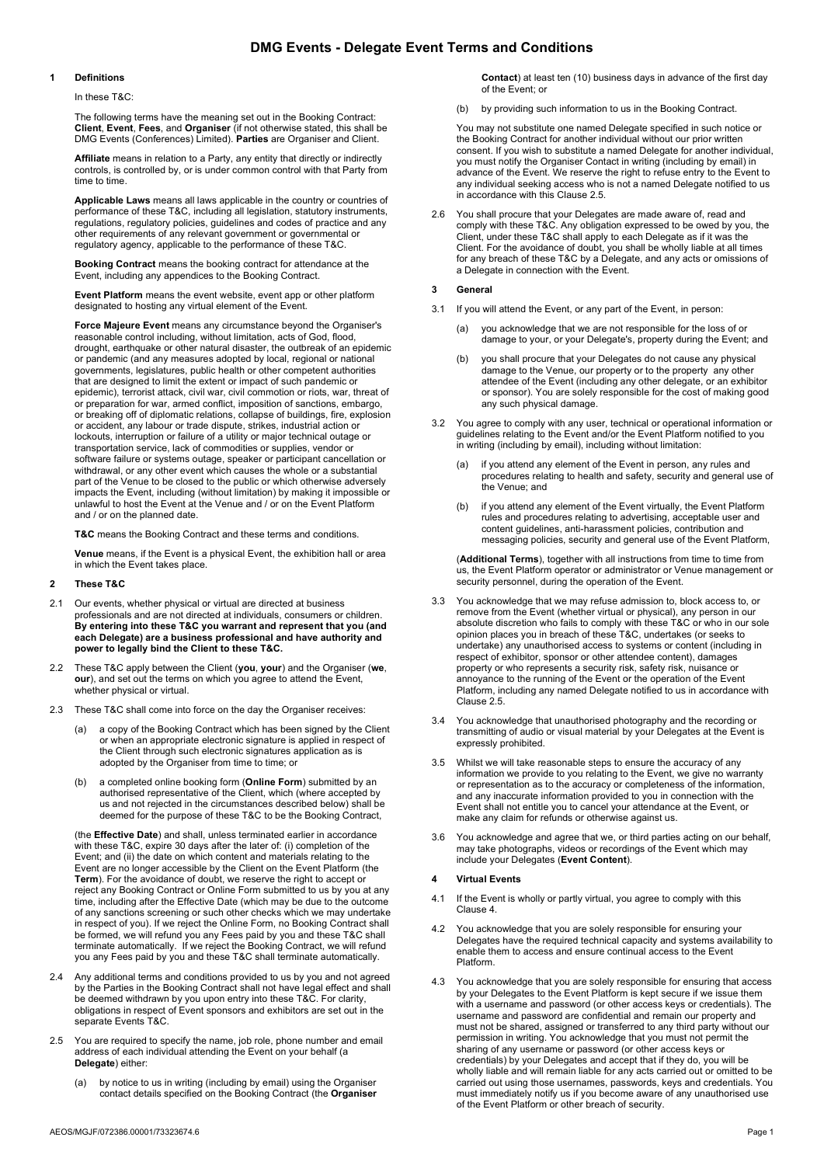# DMG Events - Delegate Event Terms and Conditions

#### 1 Definitions

In these T&C:

The following terms have the meaning set out in the Booking Contract: Client, Event, Fees, and Organiser (if not otherwise stated, this shall be DMG Events (Conferences) Limited). Parties are Organiser and Client

Affiliate means in relation to a Party, any entity that directly or indirectly controls, is controlled by, or is under common control with that Party from time to time.

Applicable Laws means all laws applicable in the country or countries of performance of these T&C, including all legislation, statutory instruments, regulations, regulatory policies, guidelines and codes of practice and any other requirements of any relevant government or governmental or regulatory agency, applicable to the performance of these T&C.

Booking Contract means the booking contract for attendance at the Event, including any appendices to the Booking Contract.

Event Platform means the event website, event app or other platform designated to hosting any virtual element of the Event.

Force Majeure Event means any circumstance beyond the Organiser's reasonable control including, without limitation, acts of God, flood, drought, earthquake or other natural disaster, the outbreak of an epidemic or pandemic (and any measures adopted by local, regional or national governments, legislatures, public health or other competent authorities that are designed to limit the extent or impact of such pandemic or epidemic), terrorist attack, civil war, civil commotion or riots, war, threat of or preparation for war, armed conflict, imposition of sanctions, embargo, or breaking off of diplomatic relations, collapse of buildings, fire, explosion or accident, any labour or trade dispute, strikes, industrial action or lockouts, interruption or failure of a utility or major technical outage or transportation service, lack of commodities or supplies, vendor or software failure or systems outage, speaker or participant cancellation or withdrawal, or any other event which causes the whole or a substantial part of the Venue to be closed to the public or which otherwise adversely impacts the Event, including (without limitation) by making it impossible or unlawful to host the Event at the Venue and / or on the Event Platform and / or on the planned date.

T&C means the Booking Contract and these terms and conditions.

Venue means, if the Event is a physical Event, the exhibition hall or area in which the Event takes place.

### 2 These T&C

- 2.1 Our events, whether physical or virtual are directed at business professionals and are not directed at individuals, consumers or children. By entering into these T&C you warrant and represent that you (and each Delegate) are a business professional and have authority and power to legally bind the Client to these T&C.
- 2.2 These T&C apply between the Client (you, your) and the Organiser (we, our), and set out the terms on which you agree to attend the Event, whether physical or virtual.
- 2.3 These T&C shall come into force on the day the Organiser receives:
	- a copy of the Booking Contract which has been signed by the Client or when an appropriate electronic signature is applied in respect of the Client through such electronic signatures application as is adopted by the Organiser from time to time; or
	- (b) a completed online booking form (Online Form) submitted by an authorised representative of the Client, which (where accepted by us and not rejected in the circumstances described below) shall be deemed for the purpose of these T&C to be the Booking Contract,

(the Effective Date) and shall, unless terminated earlier in accordance with these T&C, expire 30 days after the later of: (i) completion of the Event; and (ii) the date on which content and materials relating to the Event are no longer accessible by the Client on the Event Platform (the Term). For the avoidance of doubt, we reserve the right to accept or reject any Booking Contract or Online Form submitted to us by you at any time, including after the Effective Date (which may be due to the outcome of any sanctions screening or such other checks which we may undertake in respect of you). If we reject the Online Form, no Booking Contract shall be formed, we will refund you any Fees paid by you and these T&C shall terminate automatically. If we reject the Booking Contract, we will refund you any Fees paid by you and these T&C shall terminate automatically.

- 2.4 Any additional terms and conditions provided to us by you and not agreed by the Parties in the Booking Contract shall not have legal effect and shall be deemed withdrawn by you upon entry into these T&C. For clarity, obligations in respect of Event sponsors and exhibitors are set out in the separate Events T&C.
- 2.5 You are required to specify the name, job role, phone number and email address of each individual attending the Event on your behalf (a Delegate) either:
	- (a) by notice to us in writing (including by email) using the Organiser contact details specified on the Booking Contract (the Organiser

Contact) at least ten (10) business days in advance of the first day of the Event; or

(b) by providing such information to us in the Booking Contract.

You may not substitute one named Delegate specified in such notice or the Booking Contract for another individual without our prior written consent. If you wish to substitute a named Delegate for another individual, you must notify the Organiser Contact in writing (including by email) in advance of the Event. We reserve the right to refuse entry to the Event to any individual seeking access who is not a named Delegate notified to us in accordance with this Clause 2.5.

2.6 You shall procure that your Delegates are made aware of, read and comply with these T&C. Any obligation expressed to be owed by you, the Client, under these T&C shall apply to each Delegate as if it was the Client. For the avoidance of doubt, you shall be wholly liable at all times for any breach of these T&C by a Delegate, and any acts or omissions of a Delegate in connection with the Event.

#### 3 General

- 3.1 If you will attend the Event, or any part of the Event, in person:
	- (a) you acknowledge that we are not responsible for the loss of or damage to your, or your Delegate's, property during the Event; and
	- (b) you shall procure that your Delegates do not cause any physical damage to the Venue, our property or to the property any other attendee of the Event (including any other delegate, or an exhibitor or sponsor). You are solely responsible for the cost of making good any such physical damage.
- 3.2 You agree to comply with any user, technical or operational information or guidelines relating to the Event and/or the Event Platform notified to you in writing (including by email), including without limitation:
	- (a) if you attend any element of the Event in person, any rules and procedures relating to health and safety, security and general use of the Venue; and
	- (b) if you attend any element of the Event virtually, the Event Platform rules and procedures relating to advertising, acceptable user and content guidelines, anti-harassment policies, contribution and messaging policies, security and general use of the Event Platform,

(Additional Terms), together with all instructions from time to time from us, the Event Platform operator or administrator or Venue management or security personnel, during the operation of the Event.

- 3.3 You acknowledge that we may refuse admission to, block access to, or remove from the Event (whether virtual or physical), any person in our absolute discretion who fails to comply with these T&C or who in our sole opinion places you in breach of these T&C, undertakes (or seeks to undertake) any unauthorised access to systems or content (including in respect of exhibitor, sponsor or other attendee content), damages property or who represents a security risk, safety risk, nuisance or annoyance to the running of the Event or the operation of the Event Platform, including any named Delegate notified to us in accordance with Clause 2.5.
- 3.4 You acknowledge that unauthorised photography and the recording or transmitting of audio or visual material by your Delegates at the Event is expressly prohibited.
- 3.5 Whilst we will take reasonable steps to ensure the accuracy of any information we provide to you relating to the Event, we give no warranty or representation as to the accuracy or completeness of the information, and any inaccurate information provided to you in connection with the Event shall not entitle you to cancel your attendance at the Event, or make any claim for refunds or otherwise against us.
- 3.6 You acknowledge and agree that we, or third parties acting on our behalf, may take photographs, videos or recordings of the Event which may include your Delegates (Event Content).

### 4 Virtual Events

- 4.1 If the Event is wholly or partly virtual, you agree to comply with this Clause 4.
- 4.2 You acknowledge that you are solely responsible for ensuring your Delegates have the required technical capacity and systems availability to enable them to access and ensure continual access to the Event Platform.
- 4.3 You acknowledge that you are solely responsible for ensuring that access by your Delegates to the Event Platform is kept secure if we issue them with a username and password (or other access keys or credentials). The username and password are confidential and remain our property and must not be shared, assigned or transferred to any third party without our permission in writing. You acknowledge that you must not permit the sharing of any username or password (or other access keys or credentials) by your Delegates and accept that if they do, you will be wholly liable and will remain liable for any acts carried out or omitted to be carried out using those usernames, passwords, keys and credentials. You must immediately notify us if you become aware of any unauthorised use of the Event Platform or other breach of security.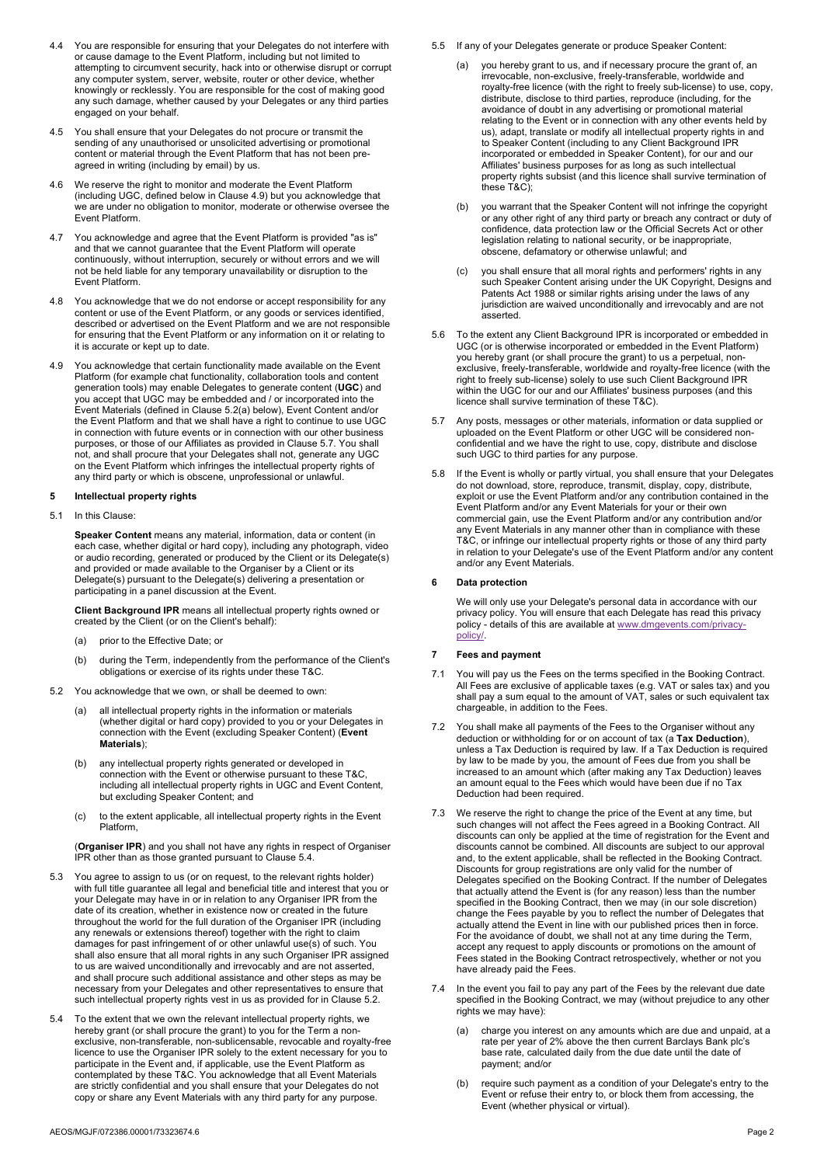- 4.4 You are responsible for ensuring that your Delegates do not interfere with or cause damage to the Event Platform, including but not limited to attempting to circumvent security, hack into or otherwise disrupt or corrupt any computer system, server, website, router or other device, whether knowingly or recklessly. You are responsible for the cost of making good any such damage, whether caused by your Delegates or any third parties engaged on your behalf.
- 4.5 You shall ensure that your Delegates do not procure or transmit the sending of any unauthorised or unsolicited advertising or promotional content or material through the Event Platform that has not been preagreed in writing (including by email) by us.
- 4.6 We reserve the right to monitor and moderate the Event Platform (including UGC, defined below in Clause 4.9) but you acknowledge that we are under no obligation to monitor, moderate or otherwise oversee the Event Platform.
- 4.7 You acknowledge and agree that the Event Platform is provided "as is" and that we cannot guarantee that the Event Platform will operate continuously, without interruption, securely or without errors and we will not be held liable for any temporary unavailability or disruption to the Event Platform.
- 4.8 You acknowledge that we do not endorse or accept responsibility for any content or use of the Event Platform, or any goods or services identified, described or advertised on the Event Platform and we are not responsible for ensuring that the Event Platform or any information on it or relating to it is accurate or kept up to date.
- 4.9 You acknowledge that certain functionality made available on the Event Platform (for example chat functionality, collaboration tools and content generation tools) may enable Delegates to generate content (UGC) and you accept that UGC may be embedded and / or incorporated into the Event Materials (defined in Clause 5.2(a) below), Event Content and/or the Event Platform and that we shall have a right to continue to use UGC in connection with future events or in connection with our other business purposes, or those of our Affiliates as provided in Clause 5.7. You shall not, and shall procure that your Delegates shall not, generate any UGC on the Event Platform which infringes the intellectual property rights of any third party or which is obscene, unprofessional or unlawful.

#### 5 Intellectual property rights

5.1 In this Clause:

Speaker Content means any material, information, data or content (in each case, whether digital or hard copy), including any photograph, video or audio recording, generated or produced by the Client or its Delegate(s) and provided or made available to the Organiser by a Client or its Delegate(s) pursuant to the Delegate(s) delivering a presentation or participating in a panel discussion at the Event.

Client Background IPR means all intellectual property rights owned or created by the Client (or on the Client's behalf):

- (a) prior to the Effective Date; or
- (b) during the Term, independently from the performance of the Client's obligations or exercise of its rights under these T&C.
- 5.2 You acknowledge that we own, or shall be deemed to own:
	- (a) all intellectual property rights in the information or materials (whether digital or hard copy) provided to you or your Delegates in connection with the Event (excluding Speaker Content) (Event Materials);
	- (b) any intellectual property rights generated or developed in connection with the Event or otherwise pursuant to these T&C, including all intellectual property rights in UGC and Event Content, but excluding Speaker Content; and
	- (c) to the extent applicable, all intellectual property rights in the Event Platform,

(Organiser IPR) and you shall not have any rights in respect of Organiser IPR other than as those granted pursuant to Clause 5.4.

- You agree to assign to us (or on request, to the relevant rights holder) with full title guarantee all legal and beneficial title and interest that you or your Delegate may have in or in relation to any Organiser IPR from the date of its creation, whether in existence now or created in the future throughout the world for the full duration of the Organiser IPR (including any renewals or extensions thereof) together with the right to claim damages for past infringement of or other unlawful use(s) of such. You shall also ensure that all moral rights in any such Organiser IPR assigned to us are waived unconditionally and irrevocably and are not asserted, and shall procure such additional assistance and other steps as may be necessary from your Delegates and other representatives to ensure that such intellectual property rights vest in us as provided for in Clause 5.2.
- 5.4 To the extent that we own the relevant intellectual property rights, we hereby grant (or shall procure the grant) to you for the Term a nonexclusive, non-transferable, non-sublicensable, revocable and royalty-free licence to use the Organiser IPR solely to the extent necessary for you to participate in the Event and, if applicable, use the Event Platform as contemplated by these T&C. You acknowledge that all Event Materials are strictly confidential and you shall ensure that your Delegates do not copy or share any Event Materials with any third party for any purpose.
- 5.5 If any of your Delegates generate or produce Speaker Content:
	- you hereby grant to us, and if necessary procure the grant of, an irrevocable, non-exclusive, freely-transferable, worldwide and royalty-free licence (with the right to freely sub-license) to use, copy, distribute, disclose to third parties, reproduce (including, for the avoidance of doubt in any advertising or promotional material relating to the Event or in connection with any other events held by us), adapt, translate or modify all intellectual property rights in and to Speaker Content (including to any Client Background IPR incorporated or embedded in Speaker Content), for our and our Affiliates' business purposes for as long as such intellectual property rights subsist (and this licence shall survive termination of these T&C):
	- (b) you warrant that the Speaker Content will not infringe the copyright or any other right of any third party or breach any contract or duty of confidence, data protection law or the Official Secrets Act or other legislation relating to national security, or be inappropriate, obscene, defamatory or otherwise unlawful; and
	- you shall ensure that all moral rights and performers' rights in any such Speaker Content arising under the UK Copyright, Designs and Patents Act 1988 or similar rights arising under the laws of any jurisdiction are waived unconditionally and irrevocably and are not asserted.
- 5.6 To the extent any Client Background IPR is incorporated or embedded in UGC (or is otherwise incorporated or embedded in the Event Platform) you hereby grant (or shall procure the grant) to us a perpetual, nonexclusive, freely-transferable, worldwide and royalty-free licence (with the right to freely sub-license) solely to use such Client Background IPR within the UGC for our and our Affiliates' business purposes (and this licence shall survive termination of these T&C).
- 5.7 Any posts, messages or other materials, information or data supplied or uploaded on the Event Platform or other UGC will be considered nonconfidential and we have the right to use, copy, distribute and disclose such UGC to third parties for any purpose.
- 5.8 If the Event is wholly or partly virtual, you shall ensure that your Delegates do not download, store, reproduce, transmit, display, copy, distribute, exploit or use the Event Platform and/or any contribution contained in the Event Platform and/or any Event Materials for your or their own commercial gain, use the Event Platform and/or any contribution and/or any Event Materials in any manner other than in compliance with these T&C, or infringe our intellectual property rights or those of any third party in relation to your Delegate's use of the Event Platform and/or any content and/or any Event Materials.

# 6 Data protection

We will only use your Delegate's personal data in accordance with our privacy policy. You will ensure that each Delegate has read this privacy policy - details of this are available at www.dmgevents.com/privacypolicy/.

#### 7 Fees and payment

- 7.1 You will pay us the Fees on the terms specified in the Booking Contract. All Fees are exclusive of applicable taxes (e.g. VAT or sales tax) and you shall pay a sum equal to the amount of VAT, sales or such equivalent tax chargeable, in addition to the Fees.
- 7.2 You shall make all payments of the Fees to the Organiser without any deduction or withholding for or on account of tax (a Tax Deduction), unless a Tax Deduction is required by law. If a Tax Deduction is required by law to be made by you, the amount of Fees due from you shall be increased to an amount which (after making any Tax Deduction) leaves an amount equal to the Fees which would have been due if no Tax Deduction had been required.
- 7.3 We reserve the right to change the price of the Event at any time, but such changes will not affect the Fees agreed in a Booking Contract. All discounts can only be applied at the time of registration for the Event and discounts cannot be combined. All discounts are subject to our approval and, to the extent applicable, shall be reflected in the Booking Contract. Discounts for group registrations are only valid for the number of Delegates specified on the Booking Contract. If the number of Delegates that actually attend the Event is (for any reason) less than the number specified in the Booking Contract, then we may (in our sole discretion) change the Fees payable by you to reflect the number of Delegates that actually attend the Event in line with our published prices then in force. For the avoidance of doubt, we shall not at any time during the Term, accept any request to apply discounts or promotions on the amount of Fees stated in the Booking Contract retrospectively, whether or not you have already paid the Fees.
- 7.4 In the event you fail to pay any part of the Fees by the relevant due date specified in the Booking Contract, we may (without prejudice to any other rights we may have):
	- (a) charge you interest on any amounts which are due and unpaid, at a rate per year of 2% above the then current Barclays Bank plc's base rate, calculated daily from the due date until the date of payment; and/or
	- (b) require such payment as a condition of your Delegate's entry to the Event or refuse their entry to, or block them from accessing, the Event (whether physical or virtual).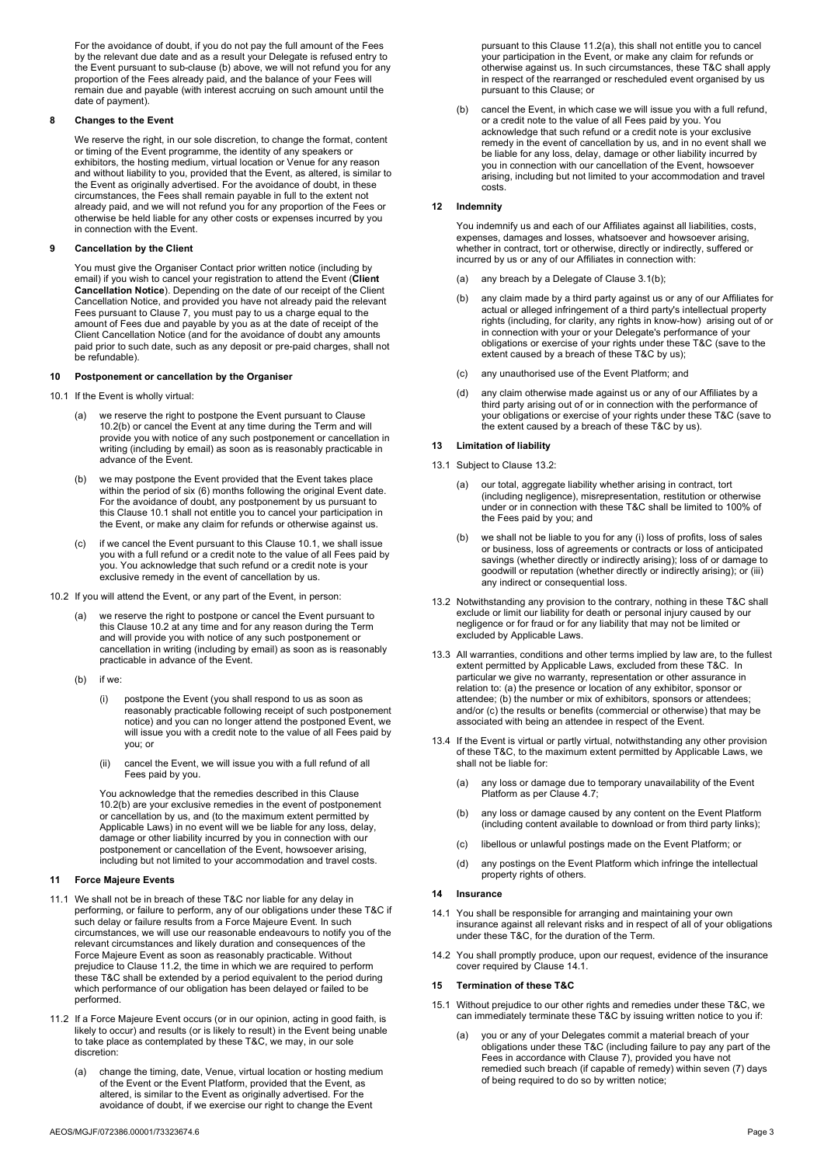For the avoidance of doubt, if you do not pay the full amount of the Fees by the relevant due date and as a result your Delegate is refused entry to the Event pursuant to sub-clause (b) above, we will not refund you for any proportion of the Fees already paid, and the balance of your Fees will remain due and payable (with interest accruing on such amount until the date of payment).

### 8 Changes to the Event

We reserve the right, in our sole discretion, to change the format, content or timing of the Event programme, the identity of any speakers or exhibitors, the hosting medium, virtual location or Venue for any reason and without liability to you, provided that the Event, as altered, is similar to the Event as originally advertised. For the avoidance of doubt, in these circumstances, the Fees shall remain payable in full to the extent not already paid, and we will not refund you for any proportion of the Fees or otherwise be held liable for any other costs or expenses incurred by you in connection with the Event.

# **Cancellation by the Client**

You must give the Organiser Contact prior written notice (including by email) if you wish to cancel your registration to attend the Event (Client Cancellation Notice). Depending on the date of our receipt of the Client Cancellation Notice, and provided you have not already paid the relevant Fees pursuant to Clause 7, you must pay to us a charge equal to the amount of Fees due and payable by you as at the date of receipt of the Client Cancellation Notice (and for the avoidance of doubt any amounts paid prior to such date, such as any deposit or pre-paid charges, shall not be refundable).

# 10 Postponement or cancellation by the Organiser

- 10.1 If the Event is wholly virtual:
	- (a) we reserve the right to postpone the Event pursuant to Clause 10.2(b) or cancel the Event at any time during the Term and will provide you with notice of any such postponement or cancellation in writing (including by email) as soon as is reasonably practicable in advance of the Event.
	- (b) we may postpone the Event provided that the Event takes place within the period of six (6) months following the original Event date. For the avoidance of doubt, any postponement by us pursuant to this Clause 10.1 shall not entitle you to cancel your participation in the Event, or make any claim for refunds or otherwise against us.
	- (c) if we cancel the Event pursuant to this Clause 10.1, we shall issue you with a full refund or a credit note to the value of all Fees paid by you. You acknowledge that such refund or a credit note is your exclusive remedy in the event of cancellation by us.
- 10.2 If you will attend the Event, or any part of the Event, in person:
	- we reserve the right to postpone or cancel the Event pursuant to this Clause 10.2 at any time and for any reason during the Term and will provide you with notice of any such postponement or cancellation in writing (including by email) as soon as is reasonably practicable in advance of the Event.
	- (b) if we:
		- (i) postpone the Event (you shall respond to us as soon as reasonably practicable following receipt of such postponement notice) and you can no longer attend the postponed Event, we will issue you with a credit note to the value of all Fees paid by you; or
		- (ii) cancel the Event, we will issue you with a full refund of all Fees paid by you.

You acknowledge that the remedies described in this Clause 10.2(b) are your exclusive remedies in the event of postponement or cancellation by us, and (to the maximum extent permitted by Applicable Laws) in no event will we be liable for any loss, delay, damage or other liability incurred by you in connection with our postponement or cancellation of the Event, howsoever arising, including but not limited to your accommodation and travel costs.

# 11 Force Majeure Events

- 11.1 We shall not be in breach of these T&C nor liable for any delay in performing, or failure to perform, any of our obligations under these T&C if such delay or failure results from a Force Majeure Event. In such circumstances, we will use our reasonable endeavours to notify you of the relevant circumstances and likely duration and consequences of the Force Majeure Event as soon as reasonably practicable. Without prejudice to Clause 11.2, the time in which we are required to perform these T&C shall be extended by a period equivalent to the period during which performance of our obligation has been delayed or failed to be performed.
- 11.2 If a Force Majeure Event occurs (or in our opinion, acting in good faith, is likely to occur) and results (or is likely to result) in the Event being unable to take place as contemplated by these T&C, we may, in our sole discretion:
	- (a) change the timing, date, Venue, virtual location or hosting medium of the Event or the Event Platform, provided that the Event, as altered, is similar to the Event as originally advertised. For the avoidance of doubt, if we exercise our right to change the Event

(b) cancel the Event, in which case we will issue you with a full refund, or a credit note to the value of all Fees paid by you. You acknowledge that such refund or a credit note is your exclusive remedy in the event of cancellation by us, and in no event shall we be liable for any loss, delay, damage or other liability incurred by you in connection with our cancellation of the Event, howsoever arising, including but not limited to your accommodation and travel costs.

# 12 Indemnity

You indemnify us and each of our Affiliates against all liabilities, costs, expenses, damages and losses, whatsoever and howsoever arising, whether in contract, tort or otherwise, directly or indirectly, suffered or incurred by us or any of our Affiliates in connection with:

- (a) any breach by a Delegate of Clause 3.1(b);
- (b) any claim made by a third party against us or any of our Affiliates for actual or alleged infringement of a third party's intellectual property rights (including, for clarity, any rights in know-how) arising out of or in connection with your or your Delegate's performance of your obligations or exercise of your rights under these T&C (save to the extent caused by a breach of these T&C by us);
- (c) any unauthorised use of the Event Platform; and
- (d) any claim otherwise made against us or any of our Affiliates by a third party arising out of or in connection with the performance of your obligations or exercise of your rights under these T&C (save to the extent caused by a breach of these T&C by us).

# 13 Limitation of liability

- 13.1 Subject to Clause 13.2:
	- (a) our total, aggregate liability whether arising in contract, tort (including negligence), misrepresentation, restitution or otherwise under or in connection with these T&C shall be limited to 100% of the Fees paid by you; and
	- (b) we shall not be liable to you for any (i) loss of profits, loss of sales or business, loss of agreements or contracts or loss of anticipated savings (whether directly or indirectly arising); loss of or damage to goodwill or reputation (whether directly or indirectly arising); or (iii) any indirect or consequential loss.
- 13.2 Notwithstanding any provision to the contrary, nothing in these T&C shall exclude or limit our liability for death or personal injury caused by our negligence or for fraud or for any liability that may not be limited or excluded by Applicable Laws.
- 13.3 All warranties, conditions and other terms implied by law are, to the fullest extent permitted by Applicable Laws, excluded from these T&C. In particular we give no warranty, representation or other assurance in relation to: (a) the presence or location of any exhibitor, sponsor or attendee; (b) the number or mix of exhibitors, sponsors or attendees; and/or (c) the results or benefits (commercial or otherwise) that may be associated with being an attendee in respect of the Event.
- 13.4 If the Event is virtual or partly virtual, notwithstanding any other provision of these T&C, to the maximum extent permitted by Applicable Laws, we shall not be liable for:
	- (a) any loss or damage due to temporary unavailability of the Event Platform as per Clause 4.7;
	- (b) any loss or damage caused by any content on the Event Platform (including content available to download or from third party links);
	- (c) libellous or unlawful postings made on the Event Platform; or
	- (d) any postings on the Event Platform which infringe the intellectual property rights of others.

### 14 Insurance

- 14.1 You shall be responsible for arranging and maintaining your own insurance against all relevant risks and in respect of all of your obligations under these T&C, for the duration of the Term.
- 14.2 You shall promptly produce, upon our request, evidence of the insurance cover required by Clause 14.1.

## 15 Termination of these T&C

- 15.1 Without prejudice to our other rights and remedies under these T&C, we can immediately terminate these T&C by issuing written notice to you if:
	- (a) you or any of your Delegates commit a material breach of your obligations under these T&C (including failure to pay any part of the Fees in accordance with Clause 7), provided you have not remedied such breach (if capable of remedy) within seven (7) days of being required to do so by written notice;